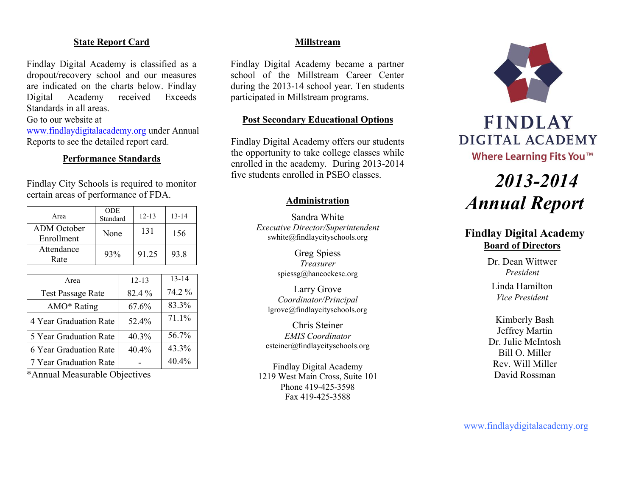#### **State Report Card**

Findlay Digital Academy is classified as a dropout/recovery school and our measures are indicated on the charts below. Findlay Digital Academy received Exceeds Standards in all areas.

Go to our website at

[www.findlaydigitalacademy.org](http://www.findlaydigitalacademy.org/) under Annual Reports to see the detailed report card.

### **Performance Standards**

Findlay City Schools is required to monitor certain areas of performance of FDA.

|                    | <b>ODE</b> |           |           |
|--------------------|------------|-----------|-----------|
| Area               | Standard   | $12 - 13$ | $13 - 14$ |
| <b>ADM</b> October | None       | 131       | 156       |
| Enrollment         |            |           |           |
| Attendance         | 93%        | 91.25     | 93.8      |
| Rate               |            |           |           |
|                    |            |           |           |
| Area               |            | $12 - 13$ | $13 - 14$ |

| AICA                     | $12 - 1.5$ |        |
|--------------------------|------------|--------|
| <b>Test Passage Rate</b> | 82.4 %     | 74.2 % |
| AMO* Rating              | 67.6%      | 83.3%  |
| 4 Year Graduation Rate   | 52.4%      | 71.1%  |
| 5 Year Graduation Rate   | 40.3%      | 56.7%  |
| 6 Year Graduation Rate   | 40.4%      | 43.3%  |
| 7 Year Graduation Rate   |            | 40.4%  |

\*Annual Measurable Objectives

#### **Millstream**

Findlay Digital Academy became a partner school of the Millstream Career Center during the 2013-14 school year. Ten students participated in Millstream programs.

#### **Post Secondary Educational Options**

Findlay Digital Academy offers our students the opportunity to take college classes while enrolled in the academy. During 2013-2014 five students enrolled in PSEO classes.

#### **Administration**

Sandra White *Executive Director/Superintendent* swhite@findlaycityschools.org

> Greg Spiess *Treasurer* spiessg@hancockesc.org

Larry Grove *Coordinator/Principal* lgrove@findlaycityschools.org

Chris Steiner *EMIS Coordinator* csteiner@findlaycityschools.org

Findlay Digital Academy 1219 West Main Cross, Suite 101 Phone 419-425-3598 Fax 419-425-3588



# **FINDLAY** DIGITAL ACADEMY Where Learning Fits You™

# *2013-2014 Annual Report*

# **Findlay Digital Academy Board of Directors**

Dr. Dean Wittwer *President* Linda Hamilton *Vice President*

Kimberly Bash Jeffrey Martin Dr. Julie McIntosh Bill O. Miller Rev. Will Miller David Rossman

www.findlaydigitalacademy.org